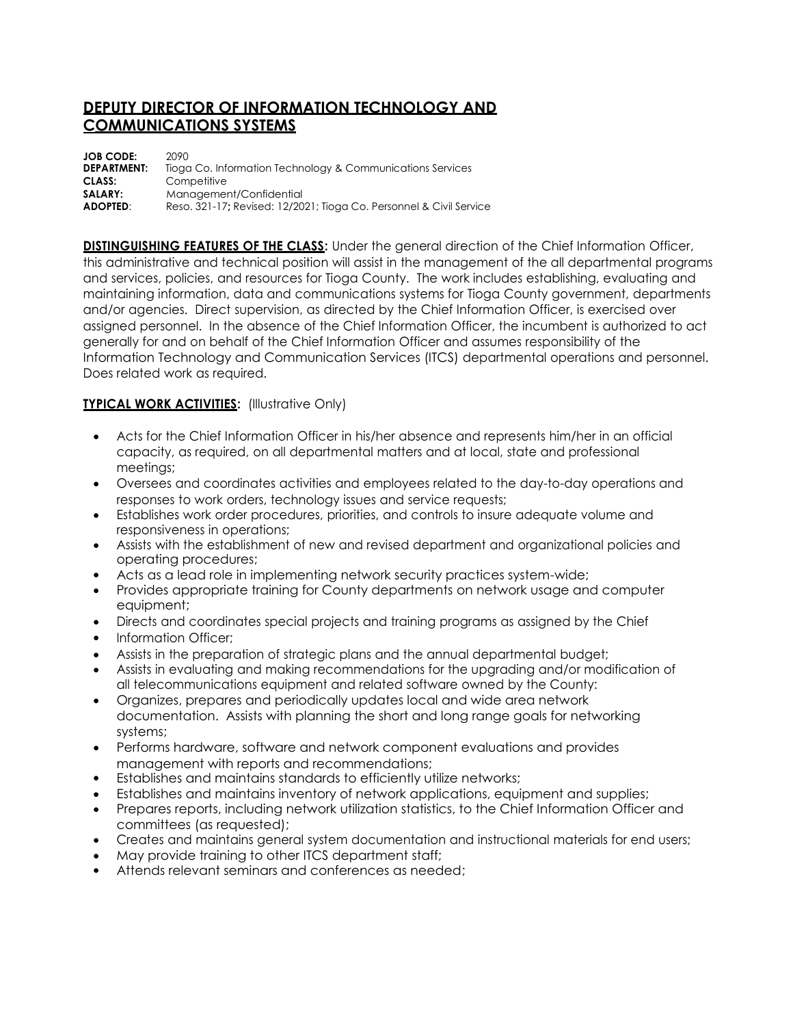## **DEPUTY DIRECTOR OF INFORMATION TECHNOLOGY AND COMMUNICATIONS SYSTEMS**

| <b>JOB CODE:</b>   | 2090                                                                |
|--------------------|---------------------------------------------------------------------|
| <b>DEPARTMENT:</b> | Tioga Co. Information Technology & Communications Services          |
| CLASS:             | Competitive                                                         |
| SALARY:            | Management/Confidential                                             |
| <b>ADOPTED:</b>    | Reso. 321-17; Revised: 12/2021; Tioga Co. Personnel & Civil Service |

**DISTINGUISHING FEATURES OF THE CLASS:** Under the general direction of the Chief Information Officer, this administrative and technical position will assist in the management of the all departmental programs and services, policies, and resources for Tioga County. The work includes establishing, evaluating and maintaining information, data and communications systems for Tioga County government, departments and/or agencies. Direct supervision, as directed by the Chief Information Officer, is exercised over assigned personnel. In the absence of the Chief Information Officer, the incumbent is authorized to act generally for and on behalf of the Chief Information Officer and assumes responsibility of the Information Technology and Communication Services (ITCS) departmental operations and personnel. Does related work as required.

## **TYPICAL WORK ACTIVITIES: (Illustrative Only)**

- Acts for the Chief Information Officer in his/her absence and represents him/her in an official capacity, as required, on all departmental matters and at local, state and professional meetings;
- Oversees and coordinates activities and employees related to the day-to-day operations and responses to work orders, technology issues and service requests;
- Establishes work order procedures, priorities, and controls to insure adequate volume and responsiveness in operations;
- Assists with the establishment of new and revised department and organizational policies and operating procedures;
- Acts as a lead role in implementing network security practices system-wide;
- Provides appropriate training for County departments on network usage and computer equipment;
- Directs and coordinates special projects and training programs as assigned by the Chief
- Information Officer;
- Assists in the preparation of strategic plans and the annual departmental budget;
- Assists in evaluating and making recommendations for the upgrading and/or modification of all telecommunications equipment and related software owned by the County:
- Organizes, prepares and periodically updates local and wide area network documentation. Assists with planning the short and long range goals for networking systems;
- Performs hardware, software and network component evaluations and provides management with reports and recommendations;
- Establishes and maintains standards to efficiently utilize networks;
- Establishes and maintains inventory of network applications, equipment and supplies;
- Prepares reports, including network utilization statistics, to the Chief Information Officer and committees (as requested);
- Creates and maintains general system documentation and instructional materials for end users;
- May provide training to other ITCS department staff;
- Attends relevant seminars and conferences as needed;